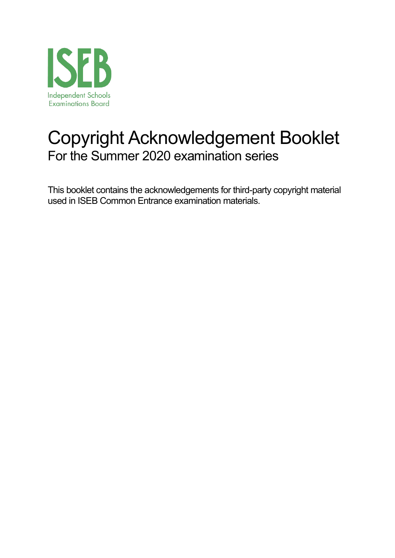

# Copyright Acknowledgement Booklet For the Summer 2020 examination series

This booklet contains the acknowledgements for third-party copyright material used in ISEB Common Entrance examination materials.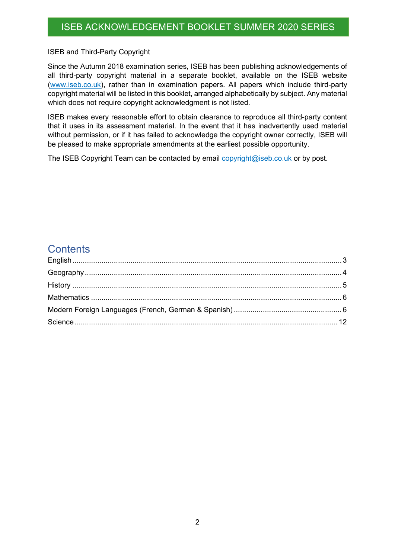ISEB and Third-Party Copyright

Since the Autumn 2018 examination series, ISEB has been publishing acknowledgements of all third-party copyright material in a separate booklet, available on the ISEB website (www.iseb.co.uk), rather than in examination papers. All papers which include third-party copyright material will be listed in this booklet, arranged alphabetically by subject. Any material which does not require copyright acknowledgment is not listed.

ISEB makes every reasonable effort to obtain clearance to reproduce all third-party content that it uses in its assessment material. In the event that it has inadvertently used material without permission, or if it has failed to acknowledge the copyright owner correctly, ISEB will be pleased to make appropriate amendments at the earliest possible opportunity.

The ISEB Copyright Team can be contacted by email copyright@iseb.co.uk or by post.

#### **Contents**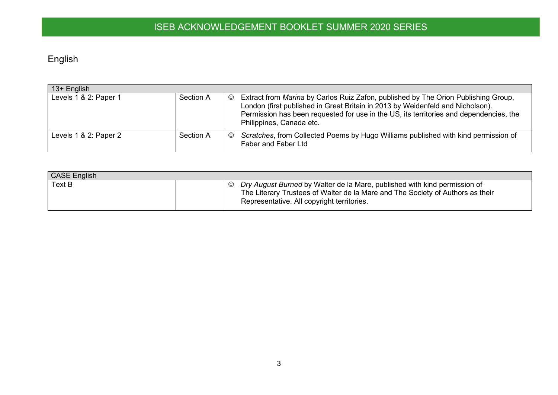# English

| $13+$ English         |           |                                                                                                                                                                                                                                                                                                              |
|-----------------------|-----------|--------------------------------------------------------------------------------------------------------------------------------------------------------------------------------------------------------------------------------------------------------------------------------------------------------------|
| Levels 1 & 2: Paper 1 | Section A | Extract from Marina by Carlos Ruiz Zafon, published by The Orion Publishing Group,<br>$\circledcirc$<br>London (first published in Great Britain in 2013 by Weidenfeld and Nicholson).<br>Permission has been requested for use in the US, its territories and dependencies, the<br>Philippines, Canada etc. |
| Levels 1 & 2: Paper 2 | Section A | Scratches, from Collected Poems by Hugo Williams published with kind permission of<br>$\odot$<br>Faber and Faber Ltd                                                                                                                                                                                         |

<span id="page-2-0"></span>

| <b>CASE English</b> |                                                                                                                                                                                                                   |
|---------------------|-------------------------------------------------------------------------------------------------------------------------------------------------------------------------------------------------------------------|
| Text B              | $\circ$ Dry August Burned by Walter de la Mare, published with kind permission of<br>The Literary Trustees of Walter de la Mare and The Society of Authors as their<br>Representative. All copyright territories. |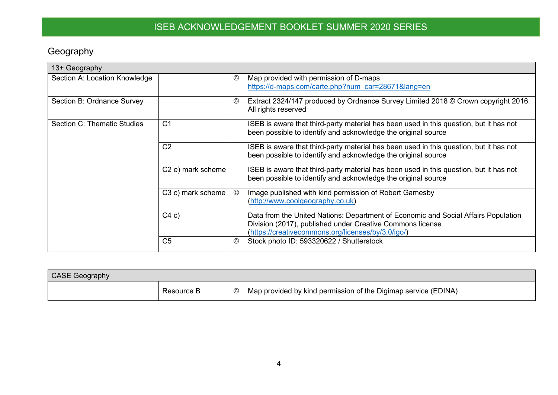## Geography

| 13+ Geography                 |                               |         |                                                                                                                                                                                                       |
|-------------------------------|-------------------------------|---------|-------------------------------------------------------------------------------------------------------------------------------------------------------------------------------------------------------|
| Section A: Location Knowledge |                               | $\odot$ | Map provided with permission of D-maps<br>https://d-maps.com/carte.php?num car=28671⟨=en                                                                                                              |
| Section B: Ordnance Survey    |                               | $\odot$ | Extract 2324/147 produced by Ordnance Survey Limited 2018 © Crown copyright 2016.<br>All rights reserved                                                                                              |
| Section C: Thematic Studies   | C <sub>1</sub>                |         | ISEB is aware that third-party material has been used in this question, but it has not<br>been possible to identify and acknowledge the original source                                               |
|                               | C <sub>2</sub>                |         | ISEB is aware that third-party material has been used in this question, but it has not<br>been possible to identify and acknowledge the original source                                               |
|                               | C <sub>2</sub> e) mark scheme |         | ISEB is aware that third-party material has been used in this question, but it has not<br>been possible to identify and acknowledge the original source                                               |
|                               | C3 c) mark scheme             | $\odot$ | Image published with kind permission of Robert Gamesby<br>(http://www.coolgeography.co.uk)                                                                                                            |
|                               | C4c)                          |         | Data from the United Nations: Department of Economic and Social Affairs Population<br>Division (2017), published under Creative Commons license<br>(https://creativecommons.org/licenses/by/3.0/igo/) |
|                               | C <sub>5</sub>                | $\odot$ | Stock photo ID: 593320622 / Shutterstock                                                                                                                                                              |

<span id="page-3-0"></span>

| <b>CASE Geography</b> |            |                                                                |
|-----------------------|------------|----------------------------------------------------------------|
|                       | Resource B | Map provided by kind permission of the Digimap service (EDINA) |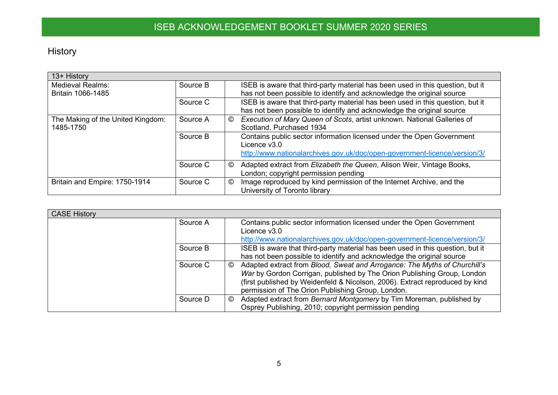History

| 13+ History                       |          |   |                                                                                                               |
|-----------------------------------|----------|---|---------------------------------------------------------------------------------------------------------------|
| <b>Medieval Realms:</b>           | Source B |   | ISEB is aware that third-party material has been used in this question, but it                                |
| Britain 1066-1485                 |          |   | has not been possible to identify and acknowledge the original source                                         |
|                                   | Source C |   | ISEB is aware that third-party material has been used in this question, but it                                |
|                                   |          |   | has not been possible to identify and acknowledge the original source                                         |
| The Making of the United Kingdom: | Source A | © | Execution of Mary Queen of Scots, artist unknown. National Galleries of                                       |
| 1485-1750                         |          |   | Scotland, Purchased 1934                                                                                      |
|                                   | Source B |   | Contains public sector information licensed under the Open Government<br>Licence $v3.0$                       |
|                                   |          |   | http://www.nationalarchives.gov.uk/doc/open-government-licence/version/3/                                     |
|                                   | Source C | © | Adapted extract from Elizabeth the Queen, Alison Weir, Vintage Books,<br>London; copyright permission pending |
| Britain and Empire: 1750-1914     | Source C | © | Image reproduced by kind permission of the Internet Archive, and the                                          |
|                                   |          |   | University of Toronto library                                                                                 |

<span id="page-4-0"></span>

| <b>CASE History</b> |                                                                                                                                                                                                                                                                                                |
|---------------------|------------------------------------------------------------------------------------------------------------------------------------------------------------------------------------------------------------------------------------------------------------------------------------------------|
| Source A            | Contains public sector information licensed under the Open Government<br>Licence v3.0<br>http://www.nationalarchives.gov.uk/doc/open-government-licence/version/3/                                                                                                                             |
| Source B            | ISEB is aware that third-party material has been used in this question, but it<br>has not been possible to identify and acknowledge the original source                                                                                                                                        |
| Source C            | Adapted extract from Blood, Sweat and Arrogance: The Myths of Churchill's<br>©<br>War by Gordon Corrigan, published by The Orion Publishing Group, London<br>(first published by Weidenfeld & Nicolson, 2006). Extract reproduced by kind<br>permission of The Orion Publishing Group, London. |
| Source D            | Adapted extract from Bernard Montgomery by Tim Moreman, published by<br>©<br>Osprey Publishing, 2010; copyright permission pending                                                                                                                                                             |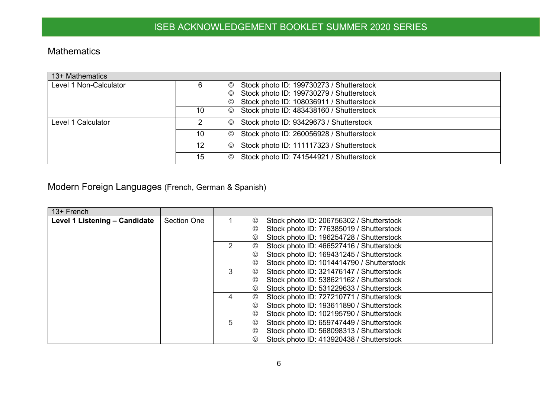#### Mathematics

| 13+ Mathematics        |    |                                                             |
|------------------------|----|-------------------------------------------------------------|
| Level 1 Non-Calculator |    | Stock photo ID: 199730273 / Shutterstock<br>$\circledcirc$  |
|                        |    | Stock photo ID: 199730279 / Shutterstock<br>$_{\mathbb{O}}$ |
|                        |    | Stock photo ID: 108036911 / Shutterstock<br>$\circledcirc$  |
|                        | 10 | Stock photo ID: 483438160 / Shutterstock<br>$\odot$         |
| Level 1 Calculator     |    | Stock photo ID: 93429673 / Shutterstock<br>$\circledcirc$   |
|                        | 10 | Stock photo ID: 260056928 / Shutterstock<br>$\circledcirc$  |
|                        | 12 | Stock photo ID: 111117323 / Shutterstock<br>$_{\mathbb{O}}$ |
|                        | 15 | Stock photo ID: 741544921 / Shutterstock<br>$\circledcirc$  |

#### Modern Foreign Languages (French, German & Spanish)

<span id="page-5-1"></span><span id="page-5-0"></span>

| 13+ French                    |                    |   |                |                                           |
|-------------------------------|--------------------|---|----------------|-------------------------------------------|
| Level 1 Listening - Candidate | <b>Section One</b> |   | $_{\odot}$     | Stock photo ID: 206756302 / Shutterstock  |
|                               |                    |   | ©              | Stock photo ID: 776385019 / Shutterstock  |
|                               |                    |   | $_{\odot}$     | Stock photo ID: 196254728 / Shutterstock  |
|                               |                    | 2 | $^{\circ}$     | Stock photo ID: 466527416 / Shutterstock  |
|                               |                    |   | $\circledcirc$ | Stock photo ID: 169431245 / Shutterstock  |
|                               |                    |   | $\circledcirc$ | Stock photo ID: 1014414790 / Shutterstock |
|                               |                    | 3 | $^{\circ}$     | Stock photo ID: 321476147 / Shutterstock  |
|                               |                    |   | $\circledcirc$ | Stock photo ID: 538621162 / Shutterstock  |
|                               |                    |   | $\circledcirc$ | Stock photo ID: 531229633 / Shutterstock  |
|                               |                    | 4 | $^{\circ}$     | Stock photo ID: 727210771 / Shutterstock  |
|                               |                    |   | $\circledcirc$ | Stock photo ID: 193611890 / Shutterstock  |
|                               |                    |   | $\circledcirc$ | Stock photo ID: 102195790 / Shutterstock  |
|                               |                    | 5 | $^{\circ}$     | Stock photo ID: 659747449 / Shutterstock  |
|                               |                    |   | $\circledcirc$ | Stock photo ID: 568098313 / Shutterstock  |
|                               |                    |   | $\circledcirc$ | Stock photo ID: 413920438 / Shutterstock  |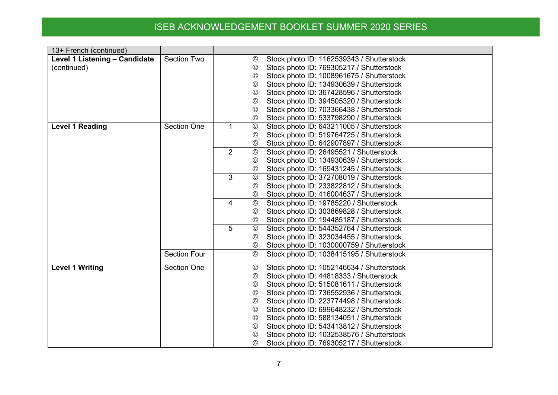| 13+ French (continued)        |                     |                |                 |                                           |
|-------------------------------|---------------------|----------------|-----------------|-------------------------------------------|
| Level 1 Listening - Candidate | <b>Section Two</b>  |                | $^{\circledR}$  | Stock photo ID: 1162539343 / Shutterstock |
| (continued)                   |                     |                | $^{\circledR}$  | Stock photo ID: 769305217 / Shutterstock  |
|                               |                     |                | ©               | Stock photo ID: 1008961675 / Shutterstock |
|                               |                     |                | ©               | Stock photo ID: 134930639 / Shutterstock  |
|                               |                     |                | ©               | Stock photo ID: 367428596 / Shutterstock  |
|                               |                     |                | ◎               | Stock photo ID: 394505320 / Shutterstock  |
|                               |                     |                | ©               | Stock photo ID: 703366438 / Shutterstock  |
|                               |                     |                | $^{\circledR}$  | Stock photo ID: 533798290 / Shutterstock  |
| <b>Level 1 Reading</b>        | <b>Section One</b>  | $\mathbf{1}$   | $\odot$         | Stock photo ID: 643211005 / Shutterstock  |
|                               |                     |                | ©               | Stock photo ID: 519764725 / Shutterstock  |
|                               |                     |                | ©               | Stock photo ID: 642907897 / Shutterstock  |
|                               |                     | 2              | $\odot$         | Stock photo ID: 26495521 / Shutterstock   |
|                               |                     |                | $\odot$         | Stock photo ID: 134930639 / Shutterstock  |
|                               |                     |                | ©               | Stock photo ID: 169431245 / Shutterstock  |
|                               |                     | 3              | $\odot$         | Stock photo ID: 372708019 / Shutterstock  |
|                               |                     |                | $^{\circ}$      | Stock photo ID: 233822812 / Shutterstock  |
|                               |                     |                | $^{\circ}$      | Stock photo ID: 416004637 / Shutterstock  |
|                               |                     | $\overline{4}$ | $\odot$         | Stock photo ID: 19785220 / Shutterstock   |
|                               |                     |                | ©               | Stock photo ID: 303869828 / Shutterstock  |
|                               |                     |                | ◎               | Stock photo ID: 194485187 / Shutterstock  |
|                               |                     | 5              | $^\copyright$   | Stock photo ID: 544352764 / Shutterstock  |
|                               |                     |                | ©               | Stock photo ID: 323034455 / Shutterstock  |
|                               |                     |                | $^{\circledR}$  | Stock photo ID: 1030000759 / Shutterstock |
|                               | <b>Section Four</b> |                | $\odot$         | Stock photo ID: 1038415195 / Shutterstock |
| <b>Level 1 Writing</b>        | <b>Section One</b>  |                | $\odot$         | Stock photo ID: 1052146634 / Shutterstock |
|                               |                     |                | $\odot$         | Stock photo ID: 44818333 / Shutterstock   |
|                               |                     |                | $\circledcirc$  | Stock photo ID: 515081611 / Shutterstock  |
|                               |                     |                | $_{\odot}$      | Stock photo ID: 736552936 / Shutterstock  |
|                               |                     |                | $_{\odot}$      | Stock photo ID: 223774498 / Shutterstock  |
|                               |                     |                | ©               | Stock photo ID: 699648232 / Shutterstock  |
|                               |                     |                | $\odot$         | Stock photo ID: 588134051 / Shutterstock  |
|                               |                     |                | $^{\circledR}$  | Stock photo ID: 543413812 / Shutterstock  |
|                               |                     |                | $_{\mathbb{O}}$ | Stock photo ID: 1032538576 / Shutterstock |
|                               |                     |                | ◎               | Stock photo ID: 769305217 / Shutterstock  |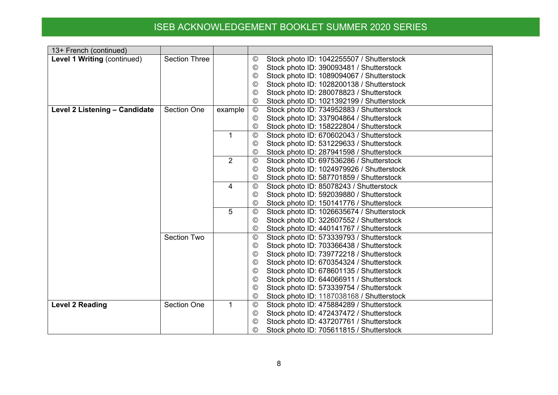| 13+ French (continued)        |                      |             |                |                                           |
|-------------------------------|----------------------|-------------|----------------|-------------------------------------------|
| Level 1 Writing (continued)   | <b>Section Three</b> |             | ©              | Stock photo ID: 1042255507 / Shutterstock |
|                               |                      |             | $\circledcirc$ | Stock photo ID: 390093481 / Shutterstock  |
|                               |                      |             | ©              | Stock photo ID: 1089094067 / Shutterstock |
|                               |                      |             | ©              | Stock photo ID: 1028200138 / Shutterstock |
|                               |                      |             | ©              | Stock photo ID: 280078823 / Shutterstock  |
|                               |                      |             | $^{\circledR}$ | Stock photo ID: 1021392199 / Shutterstock |
| Level 2 Listening - Candidate | <b>Section One</b>   | example     | $\circledcirc$ | Stock photo ID: 734952883 / Shutterstock  |
|                               |                      |             | $\odot$        | Stock photo ID: 337904864 / Shutterstock  |
|                               |                      |             | ©              | Stock photo ID: 158222804 / Shutterstock  |
|                               |                      | $\mathbf 1$ | $^{\circledR}$ | Stock photo ID: 670602043 / Shutterstock  |
|                               |                      |             | ©              | Stock photo ID: 531229633 / Shutterstock  |
|                               |                      |             | ©              | Stock photo ID: 287941598 / Shutterstock  |
|                               |                      | 2           | $\odot$        | Stock photo ID: 697536286 / Shutterstock  |
|                               |                      |             | $\circledcirc$ | Stock photo ID: 1024979926 / Shutterstock |
|                               |                      |             | $\circledcirc$ | Stock photo ID: 587701859 / Shutterstock  |
|                               |                      | 4           | $\circledcirc$ | Stock photo ID: 85078243 / Shutterstock   |
|                               |                      |             | $\circledcirc$ | Stock photo ID: 592039880 / Shutterstock  |
|                               |                      |             | ©              | Stock photo ID: 150141776 / Shutterstock  |
|                               |                      | 5           | $\odot$        | Stock photo ID: 1026635674 / Shutterstock |
|                               |                      |             | ©              | Stock photo ID: 322607552 / Shutterstock  |
|                               |                      |             | $^\copyright$  | Stock photo ID: 440141767 / Shutterstock  |
|                               | <b>Section Two</b>   |             | $\odot$        | Stock photo ID: 573339793 / Shutterstock  |
|                               |                      |             | $^{\circledR}$ | Stock photo ID: 703366438 / Shutterstock  |
|                               |                      |             | $\circledcirc$ | Stock photo ID: 739772218 / Shutterstock  |
|                               |                      |             | ◎              | Stock photo ID: 670354324 / Shutterstock  |
|                               |                      |             | $^\copyright$  | Stock photo ID: 678601135 / Shutterstock  |
|                               |                      |             | ©              | Stock photo ID: 644066911 / Shutterstock  |
|                               |                      |             | ©              | Stock photo ID: 573339754 / Shutterstock  |
|                               |                      |             | ©              | Stock photo ID: 1187038168 / Shutterstock |
| <b>Level 2 Reading</b>        | <b>Section One</b>   | 1           | $\odot$        | Stock photo ID: 475884289 / Shutterstock  |
|                               |                      |             | $\circledcirc$ | Stock photo ID: 472437472 / Shutterstock  |
|                               |                      |             | ©              | Stock photo ID: 437207761 / Shutterstock  |
|                               |                      |             | ◎              | Stock photo ID: 705611815 / Shutterstock  |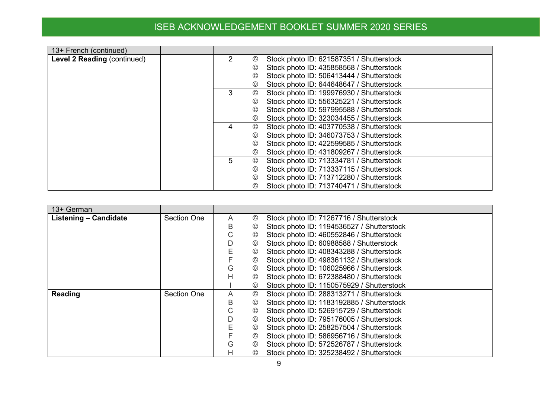| 13+ French (continued)      |   |                                                            |
|-----------------------------|---|------------------------------------------------------------|
| Level 2 Reading (continued) | 2 | Stock photo ID: 621587351 / Shutterstock<br>$\circledcirc$ |
|                             |   | Stock photo ID: 435858568 / Shutterstock<br>$\circledcirc$ |
|                             |   | Stock photo ID: 506413444 / Shutterstock<br>$^{\circ}$     |
|                             |   | Stock photo ID: 644648647 / Shutterstock<br>$\circledcirc$ |
|                             | 3 | Stock photo ID: 199976930 / Shutterstock<br>$^{\circ}$     |
|                             |   | Stock photo ID: 556325221 / Shutterstock<br>$\circledcirc$ |
|                             |   | Stock photo ID: 597995588 / Shutterstock<br>$\circledcirc$ |
|                             |   | Stock photo ID: 323034455 / Shutterstock<br>$\circledcirc$ |
|                             | 4 | Stock photo ID: 403770538 / Shutterstock<br>$^{\circ}$     |
|                             |   | Stock photo ID: 346073753 / Shutterstock<br>$\circledcirc$ |
|                             |   | Stock photo ID: 422599585 / Shutterstock<br>$^{\circ}$     |
|                             |   | Stock photo ID: 431809267 / Shutterstock<br>$\circledcirc$ |
|                             | 5 | Stock photo ID: 713334781 / Shutterstock<br>$\circledcirc$ |
|                             |   | Stock photo ID: 713337115 / Shutterstock<br>$\circledcirc$ |
|                             |   | Stock photo ID: 713712280 / Shutterstock<br>$\circledcirc$ |
|                             |   | Stock photo ID: 713740471 / Shutterstock                   |

| 13+ German            |                    |   |                |                                           |
|-----------------------|--------------------|---|----------------|-------------------------------------------|
| Listening - Candidate | <b>Section One</b> | A | ©              | Stock photo ID: 71267716 / Shutterstock   |
|                       |                    | В | $\circledcirc$ | Stock photo ID: 1194536527 / Shutterstock |
|                       |                    | С | ©              | Stock photo ID: 460552846 / Shutterstock  |
|                       |                    | D | ©              | Stock photo ID: 60988588 / Shutterstock   |
|                       |                    | Е | $\circledcirc$ | Stock photo ID: 408343288 / Shutterstock  |
|                       |                    |   | ©              | Stock photo ID: 498361132 / Shutterstock  |
|                       |                    | G | ©              | Stock photo ID: 106025966 / Shutterstock  |
|                       |                    | Н | ©              | Stock photo ID: 672388480 / Shutterstock  |
|                       |                    |   | ©              | Stock photo ID: 1150575929 / Shutterstock |
| Reading               | Section One        | A | $^\copyright$  | Stock photo ID: 288313271 / Shutterstock  |
|                       |                    | В | ©              | Stock photo ID: 1183192885 / Shutterstock |
|                       |                    | С | ©              | Stock photo ID: 526915729 / Shutterstock  |
|                       |                    | D | ©              | Stock photo ID: 795176005 / Shutterstock  |
|                       |                    | Е | $\circledcirc$ | Stock photo ID: 258257504 / Shutterstock  |
|                       |                    |   | ©              | Stock photo ID: 586956716 / Shutterstock  |
|                       |                    | G | $^{\circledR}$ | Stock photo ID: 572526787 / Shutterstock  |
|                       |                    | Н | ©              | Stock photo ID: 325238492 / Shutterstock  |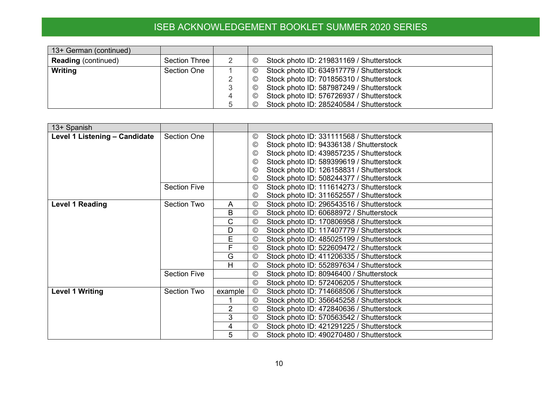| 13+ German (continued)     |                    |   |                                                            |
|----------------------------|--------------------|---|------------------------------------------------------------|
| <b>Reading (continued)</b> | Section Three      |   | Stock photo ID: 219831169 / Shutterstock<br>$\circledcirc$ |
| Writing                    | <b>Section One</b> |   | Stock photo ID: 634917779 / Shutterstock<br>$\odot$        |
|                            |                    |   | Stock photo ID: 701856310 / Shutterstock<br>$\circledcirc$ |
|                            |                    |   | Stock photo ID: 587987249 / Shutterstock<br>$\circledcirc$ |
|                            |                    | 4 | Stock photo ID: 576726937 / Shutterstock<br>$\circled{c}$  |
|                            |                    |   | Stock photo ID: 285240584 / Shutterstock<br>$\circledcirc$ |

| 13+ Spanish                   |                     |                |                |                                          |
|-------------------------------|---------------------|----------------|----------------|------------------------------------------|
| Level 1 Listening - Candidate | <b>Section One</b>  |                | $^\copyright$  | Stock photo ID: 331111568 / Shutterstock |
|                               |                     |                | $\odot$        | Stock photo ID: 94336138 / Shutterstock  |
|                               |                     |                | $\odot$        | Stock photo ID: 439857235 / Shutterstock |
|                               |                     |                | $\odot$        | Stock photo ID: 589399619 / Shutterstock |
|                               |                     |                | $\odot$        | Stock photo ID: 126158831 / Shutterstock |
|                               |                     |                | $^\copyright$  | Stock photo ID: 508244377 / Shutterstock |
|                               | <b>Section Five</b> |                | $\odot$        | Stock photo ID: 111614273 / Shutterstock |
|                               |                     |                | $\odot$        | Stock photo ID: 311652557 / Shutterstock |
| <b>Level 1 Reading</b>        | Section Two         | A              | $\odot$        | Stock photo ID: 296543516 / Shutterstock |
|                               |                     | B              | $\odot$        | Stock photo ID: 60688972 / Shutterstock  |
|                               |                     | C              | $\odot$        | Stock photo ID: 170806958 / Shutterstock |
|                               |                     | D              | $\odot$        | Stock photo ID: 117407779 / Shutterstock |
|                               |                     | E              | $_{\odot}$     | Stock photo ID: 485025199 / Shutterstock |
|                               |                     | F              | $\odot$        | Stock photo ID: 522609472 / Shutterstock |
|                               |                     | G              | $\odot$        | Stock photo ID: 411206335 / Shutterstock |
|                               |                     | Н              | $\odot$        | Stock photo ID: 552897634 / Shutterstock |
|                               | <b>Section Five</b> |                | $\circledcirc$ | Stock photo ID: 80946400 / Shutterstock  |
|                               |                     |                | $\odot$        | Stock photo ID: 572406205 / Shutterstock |
| <b>Level 1 Writing</b>        | Section Two         | example        | $_{\odot}$     | Stock photo ID: 714668506 / Shutterstock |
|                               |                     |                | $_{\odot}$     | Stock photo ID: 356645258 / Shutterstock |
|                               |                     | $\overline{2}$ | $\circledcirc$ | Stock photo ID: 472840636 / Shutterstock |
|                               |                     | 3              | $\odot$        | Stock photo ID: 570563542 / Shutterstock |
|                               |                     | 4              | $\circledcirc$ | Stock photo ID: 421291225 / Shutterstock |
|                               |                     | 5              | $\circledcirc$ | Stock photo ID: 490270480 / Shutterstock |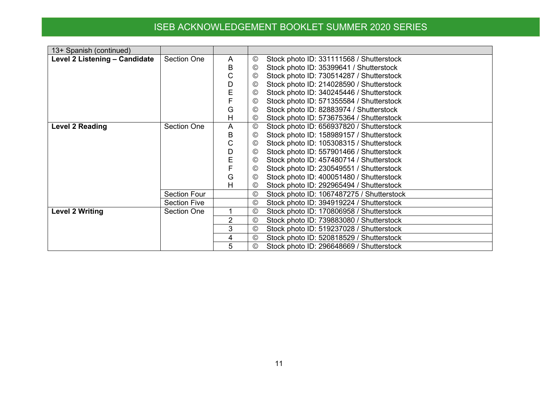| 13+ Spanish (continued)       |                     |   |                 |                                           |
|-------------------------------|---------------------|---|-----------------|-------------------------------------------|
| Level 2 Listening - Candidate | <b>Section One</b>  | A | $^{\circledR}$  | Stock photo ID: 331111568 / Shutterstock  |
|                               |                     | В | $^\copyright$   | Stock photo ID: 35399641 / Shutterstock   |
|                               |                     | С | $\odot$         | Stock photo ID: 730514287 / Shutterstock  |
|                               |                     | D | $_{\odot}$      | Stock photo ID: 214028590 / Shutterstock  |
|                               |                     | Е | $\circledcirc$  | Stock photo ID: 340245446 / Shutterstock  |
|                               |                     |   | $\odot$         | Stock photo ID: 571355584 / Shutterstock  |
|                               |                     | G | $\odot$         | Stock photo ID: 82883974 / Shutterstock   |
|                               |                     | Н | $\circledcirc$  | Stock photo ID: 573675364 / Shutterstock  |
| <b>Level 2 Reading</b>        | <b>Section One</b>  | A | $\odot$         | Stock photo ID: 656937820 / Shutterstock  |
|                               |                     | B | $_{\mathbb{O}}$ | Stock photo ID: 158989157 / Shutterstock  |
|                               |                     | С | $_{\mathbb{O}}$ | Stock photo ID: 105308315 / Shutterstock  |
|                               |                     | D | $_{\mathbb{O}}$ | Stock photo ID: 557901466 / Shutterstock  |
|                               |                     | E | $_{\mathbb{O}}$ | Stock photo ID: 457480714 / Shutterstock  |
|                               |                     |   | $\circledcirc$  | Stock photo ID: 230549551 / Shutterstock  |
|                               |                     | G | $\odot$         | Stock photo ID: 400051480 / Shutterstock  |
|                               |                     | Н | $_{\mathbb{O}}$ | Stock photo ID: 292965494 / Shutterstock  |
|                               | <b>Section Four</b> |   | $\odot$         | Stock photo ID: 1067487275 / Shutterstock |
|                               | <b>Section Five</b> |   | $\circledcirc$  | Stock photo ID: 394919224 / Shutterstock  |
| <b>Level 2 Writing</b>        | <b>Section One</b>  |   | $\odot$         | Stock photo ID: 170806958 / Shutterstock  |
|                               |                     | 2 | $^{\circledR}$  | Stock photo ID: 739883080 / Shutterstock  |
|                               |                     | 3 | $\odot$         | Stock photo ID: 519237028 / Shutterstock  |
|                               |                     | 4 | $\odot$         | Stock photo ID: 520818529 / Shutterstock  |
|                               |                     | 5 | $\circledcirc$  | Stock photo ID: 296648669 / Shutterstock  |